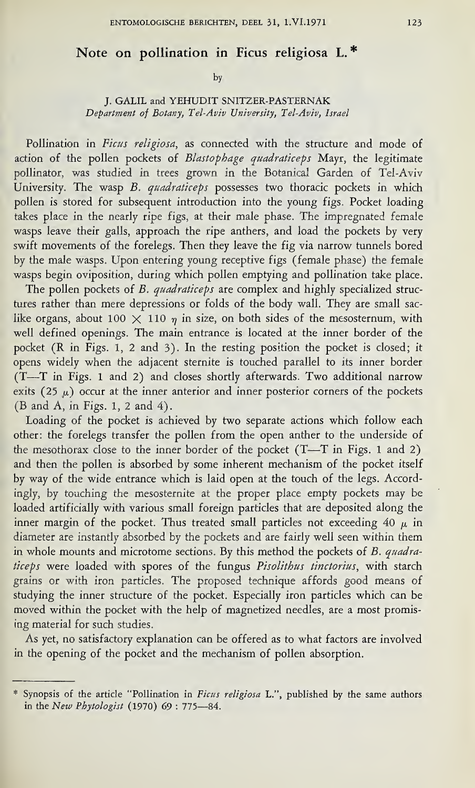## Note on pollination in Ficus religiosa L. \*

by

## J. GALIL and YEHUDIT SNITZER-PASTERNAK Department of Botany, Tel-Aviv University, Tel-Aviv, Israel

Pollination in Ficus religiosa, as connected with the structure and mode of action of the pollen pockets of Blastophage quadraticeps Mayr, the legitimate pollinator, was studied in trees grown in the Botanical Garden of Tel-Aviv University. The wasp B. quadraticeps possesses two thoracic pockets in which pollen is stored for subsequent introduction into the young figs. Pocket loading takes place in the nearly ripe figs, at their male phase. The impregnated female wasps leave their galls, approach the ripe anthers, and load the pockets by very swift movements of the forelegs. Then they leave the fig via narrow tunnels bored by the male wasps. Upon entering young receptive figs (female phase) the female wasps begin oviposition, during which pollen emptying and pollination take place.

The pollen pockets of B. quadraticeps are complex and highly specialized structures rather than mere depressions or folds of the body wall. They are small saclike organs, about 100  $\times$  110  $\eta$  in size, on both sides of the mesosternum, with well defined openings. The main entrance is located at the inner border of the pocket (R in Figs. <sup>1</sup>, <sup>2</sup> and 3). In the resting position the pocket is closed; it opens widely when the adjacent sternite is touched parallel to its inner border (T—T in Figs. <sup>1</sup> and <sup>2</sup>) and closes shortly afterwards. Two additional narrow exits (25  $\mu$ ) occur at the inner anterior and inner posterior corners of the pockets (B and A, in Figs. <sup>1</sup>, <sup>2</sup> and 4).

Loading of the pocket is achieved by two separate actions which follow each other: the forelegs transfer the pollen from the open anther to the underside of the mesothorax close to the inner border of the pocket (T—T in Figs. <sup>1</sup> and <sup>2</sup>) and then the pollen is absorbed by some inherent mechanism of the pocket itself by way of the wide entrance which is laid open at the touch of the legs. Accordingly, by touching the mesosternite at the proper place empty pockets may be loaded artificially with various small foreign particles that are deposited along the inner margin of the pocket. Thus treated small particles not exceeding 40  $\mu$  in diameter are instantly absorbed by the pockets and are fairly well seen within them in whole mounts and microtome sections. By this method the pockets of  $B$ . quadraticeps were loaded with spores of the fungus Pisolithus tinctorius, with starch grains or with iron particles. The proposed technique affords good means of studying the inner structure of the pocket. Especially iron particles which can be moved within the pocket with the help of magnetized needles, are a most promising material for such studies.

As yet, no satisfactory explanation can be offered as to what factors are involved in the opening of the pocket and the mechanism of pollen absorption.

<sup>\*</sup> Synopsis of the article "Pollination in Ficus religiosa L.", published by the same authors in the New Phytologist (1970) 69 : 775—84.